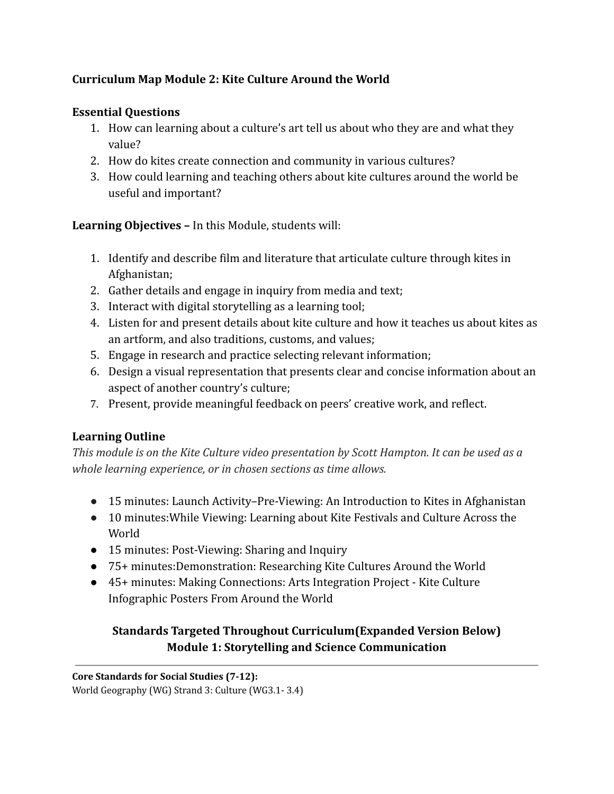# **Curriculum Map Module 2: Kite Culture Around the World**

# **Essential Questions**

- 1. How can learning about a culture's art tell us about who they are and what they value?
- 2. How do kites create connection and community in various cultures?
- 3. How could learning and teaching others about kite cultures around the world be useful and important?

**Learning Objectives –** In this Module, students will:

- 1. Identify and describe film and literature that articulate culture through kites in Afghanistan;
- 2. Gather details and engage in inquiry from media and text;
- 3. Interact with digital storytelling as a learning tool;
- 4. Listen for and present details about kite culture and how it teaches us about kites as an artform, and also traditions, customs, and values;
- 5. Engage in research and practice selecting relevant information;
- 6. Design a visual representation that presents clear and concise information about an aspect of another country's culture;
- 7. Present, provide meaningful feedback on peers' creative work, and reflect.

# **Learning Outline**

*This module is on the Kite Culture video presentation by Scott Hampton. It can be used as a whole learning experience, or in chosen sections as time allows.*

- 15 minutes: Launch Activity–Pre-Viewing: An Introduction to Kites in Afghanistan
- 10 minutes:While Viewing: Learning about Kite Festivals and Culture Across the World
- 15 minutes: Post-Viewing: Sharing and Inquiry
- 75+ minutes:Demonstration: Researching Kite Cultures Around the World
- 45+ minutes: Making Connections: Arts Integration Project Kite Culture Infographic Posters From Around the World

# **Standards Targeted Throughout Curriculum(Expanded Version Below) Module 1: Storytelling and Science Communication**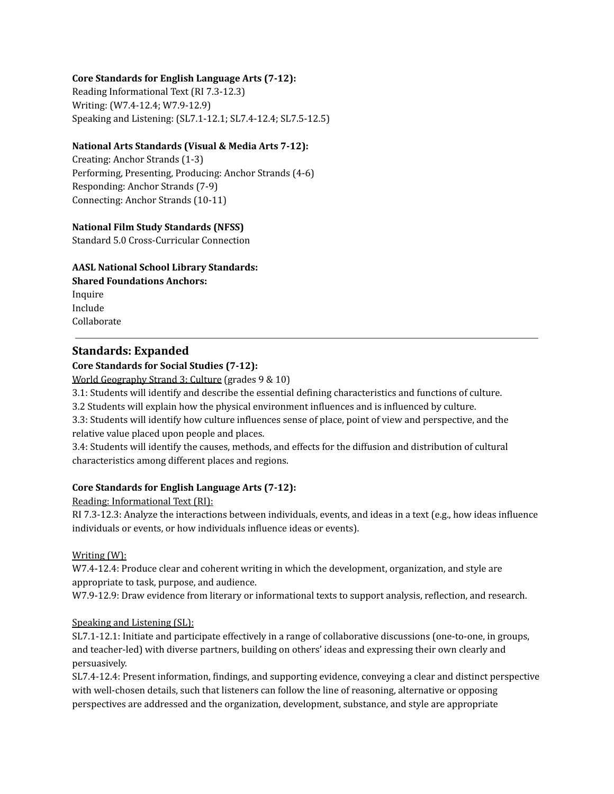## **Core Standards for English Language Arts (7-12):**

Reading Informational Text (RI 7.3-12.3) Writing: (W7.4-12.4; W7.9-12.9) Speaking and Listening: (SL7.1-12.1; SL7.4-12.4; SL7.5-12.5)

### **National Arts Standards (Visual & Media Arts 7-12):**

Creating: Anchor Strands (1-3) Performing, Presenting, Producing: Anchor Strands (4-6) Responding: Anchor Strands (7-9) Connecting: Anchor Strands (10-11)

### **National Film Study Standards (NFSS)**

Standard 5.0 Cross-Curricular Connection

### **AASL National School Library Standards:**

**Shared Foundations Anchors:** Inquire Include Collaborate

## **Standards: Expanded**

### **Core Standards for Social Studies (7-12):**

World Geography Strand 3: Culture (grades 9 & 10)

3.1: Students will identify and describe the essential defining characteristics and functions of culture.

3.2 Students will explain how the physical environment influences and is influenced by culture.

3.3: Students will identify how culture influences sense of place, point of view and perspective, and the relative value placed upon people and places.

3.4: Students will identify the causes, methods, and effects for the diffusion and distribution of cultural characteristics among different places and regions.

## **Core Standards for English Language Arts (7-12):**

Reading: Informational Text (RI):

RI 7.3-12.3: Analyze the interactions between individuals, events, and ideas in a text (e.g., how ideas influence individuals or events, or how individuals influence ideas or events).

#### Writing (W):

W7.4-12.4: Produce clear and coherent writing in which the development, organization, and style are appropriate to task, purpose, and audience.

W7.9-12.9: Draw evidence from literary or informational texts to support analysis, reflection, and research.

## Speaking and Listening (SL):

SL7.1-12.1: Initiate and participate effectively in a range of collaborative discussions (one-to-one, in groups, and teacher-led) with diverse partners, building on others' ideas and expressing their own clearly and persuasively.

SL7.4-12.4: Present information, findings, and supporting evidence, conveying a clear and distinct perspective with well-chosen details, such that listeners can follow the line of reasoning, alternative or opposing perspectives are addressed and the organization, development, substance, and style are appropriate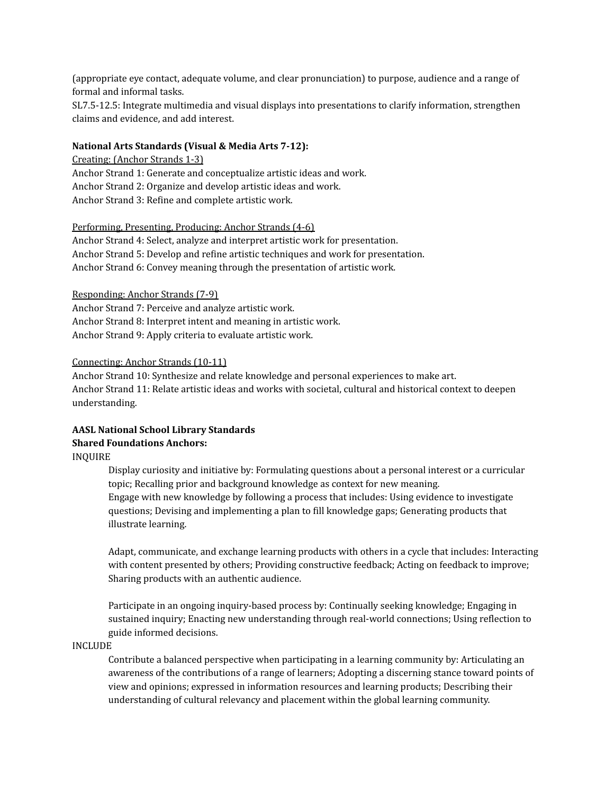(appropriate eye contact, adequate volume, and clear pronunciation) to purpose, audience and a range of formal and informal tasks.

SL7.5-12.5: Integrate multimedia and visual displays into presentations to clarify information, strengthen claims and evidence, and add interest.

### **National Arts Standards (Visual & Media Arts 7-12):**

Creating: (Anchor Strands 1-3) Anchor Strand 1: Generate and conceptualize artistic ideas and work. Anchor Strand 2: Organize and develop artistic ideas and work. Anchor Strand 3: Refine and complete artistic work.

#### Performing, Presenting, Producing: Anchor Strands (4-6)

Anchor Strand 4: Select, analyze and interpret artistic work for presentation. Anchor Strand 5: Develop and refine artistic techniques and work for presentation. Anchor Strand 6: Convey meaning through the presentation of artistic work.

#### Responding: Anchor Strands (7-9)

Anchor Strand 7: Perceive and analyze artistic work. Anchor Strand 8: Interpret intent and meaning in artistic work. Anchor Strand 9: Apply criteria to evaluate artistic work.

#### Connecting: Anchor Strands (10-11)

Anchor Strand 10: Synthesize and relate knowledge and personal experiences to make art. Anchor Strand 11: Relate artistic ideas and works with societal, cultural and historical context to deepen understanding.

# **AASL National School Library Standards Shared Foundations Anchors:**

INQUIRE

Display curiosity and initiative by: Formulating questions about a personal interest or a curricular topic; Recalling prior and background knowledge as context for new meaning. Engage with new knowledge by following a process that includes: Using evidence to investigate questions; Devising and implementing a plan to fill knowledge gaps; Generating products that illustrate learning.

Adapt, communicate, and exchange learning products with others in a cycle that includes: Interacting with content presented by others; Providing constructive feedback; Acting on feedback to improve; Sharing products with an authentic audience.

Participate in an ongoing inquiry-based process by: Continually seeking knowledge; Engaging in sustained inquiry; Enacting new understanding through real-world connections; Using reflection to guide informed decisions.

INCLUDE

Contribute a balanced perspective when participating in a learning community by: Articulating an awareness of the contributions of a range of learners; Adopting a discerning stance toward points of view and opinions; expressed in information resources and learning products; Describing their understanding of cultural relevancy and placement within the global learning community.